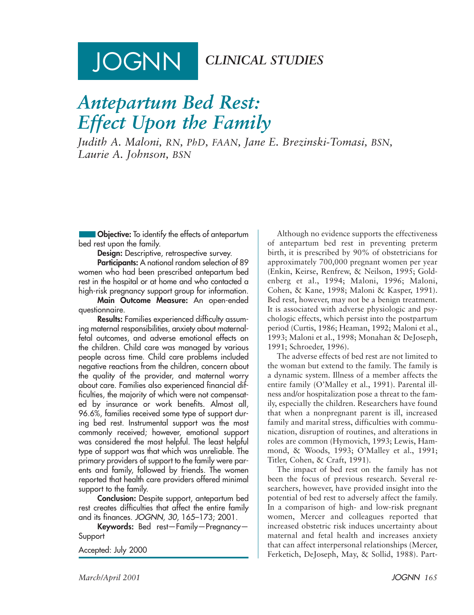# JOGNN *CLINICAL STUDIES*

# *Antepartum Bed Rest: Effect Upon the Family*

*Judith A. Maloni, RN, PhD, FAAN, Jane E. Brezinski-Tomasi, BSN, Laurie A. Johnson, BSN*

**Objective:** To identify the effects of antepartum bed rest upon the family.

**Design:** Descriptive, retrospective survey.

**Participants:** A national random selection of 89 women who had been prescribed antepartum bed rest in the hospital or at home and who contacted a high-risk pregnancy support group for information.

**Main Outcome Measure:** An open-ended questionnaire.

**Results:** Families experienced difficulty assuming maternal responsibilities, anxiety about maternalfetal outcomes, and adverse emotional effects on the children. Child care was managed by various people across time. Child care problems included negative reactions from the children, concern about the quality of the provider, and maternal worry about care. Families also experienced financial difficulties, the majority of which were not compensated by insurance or work benefits. Almost all, 96.6%, families received some type of support during bed rest. Instrumental support was the most commonly received; however, emotional support was considered the most helpful. The least helpful type of support was that which was unreliable. The primary providers of support to the family were parents and family, followed by friends. The women reported that health care providers offered minimal support to the family.

**Conclusion:** Despite support, antepartum bed rest creates difficulties that affect the entire family and its finances. JOGNN, 30, 165–173; 2001.

**Keywords:** Bed rest—Family—Pregnancy— Support

Accepted: July 2000

Although no evidence supports the effectiveness of antepartum bed rest in preventing preterm birth, it is prescribed by 90% of obstetricians for approximately 700,000 pregnant women per year (Enkin, Keirse, Renfrew, & Neilson, 1995; Goldenberg et al., 1994; Maloni, 1996; Maloni, Cohen, & Kane, 1998; Maloni & Kasper, 1991). Bed rest, however, may not be a benign treatment. It is associated with adverse physiologic and psychologic effects, which persist into the postpartum period (Curtis, 1986; Heaman, 1992; Maloni et al., 1993; Maloni et al., 1998; Monahan & DeJoseph, 1991; Schroeder, 1996).

The adverse effects of bed rest are not limited to the woman but extend to the family. The family is a dynamic system. Illness of a member affects the entire family (O'Malley et al., 1991). Parental illness and/or hospitalization pose a threat to the family, especially the children. Researchers have found that when a nonpregnant parent is ill, increased family and marital stress, difficulties with communication, disruption of routines, and alterations in roles are common (Hymovich, 1993; Lewis, Hammond, & Woods, 1993; O'Malley et al., 1991; Titler, Cohen, & Craft, 1991).

The impact of bed rest on the family has not been the focus of previous research. Several researchers, however, have provided insight into the potential of bed rest to adversely affect the family. In a comparison of high- and low-risk pregnant women, Mercer and colleagues reported that increased obstetric risk induces uncertainty about maternal and fetal health and increases anxiety that can affect interpersonal relationships (Mercer, Ferketich, DeJoseph, May, & Sollid, 1988). Part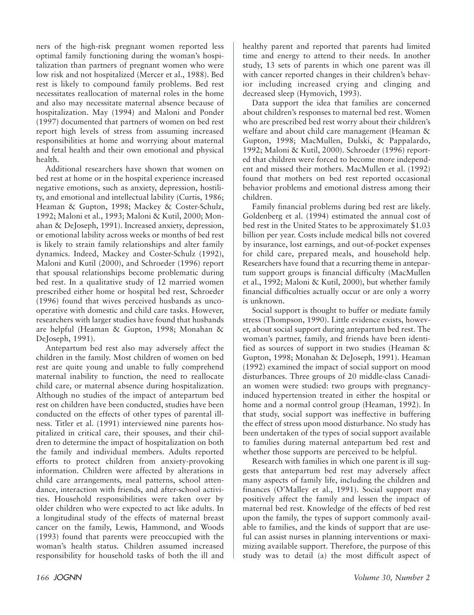ners of the high-risk pregnant women reported less optimal family functioning during the woman's hospitalization than partners of pregnant women who were low risk and not hospitalized (Mercer et al., 1988). Bed rest is likely to compound family problems. Bed rest necessitates reallocation of maternal roles in the home and also may necessitate maternal absence because of hospitalization. May (1994) and Maloni and Ponder (1997) documented that partners of women on bed rest report high levels of stress from assuming increased responsibilities at home and worrying about maternal and fetal health and their own emotional and physical health.

Additional researchers have shown that women on bed rest at home or in the hospital experience increased negative emotions, such as anxiety, depression, hostility, and emotional and intellectual lability (Curtis, 1986; Heaman & Gupton, 1998; Mackey & Coster-Schulz, 1992; Maloni et al., 1993; Maloni & Kutil, 2000; Monahan & DeJoseph, 1991). Increased anxiety, depression, or emotional lability across weeks or months of bed rest is likely to strain family relationships and alter family dynamics. Indeed, Mackey and Coster-Schulz (1992), Maloni and Kutil (2000), and Schroeder (1996) report that spousal relationships become problematic during bed rest. In a qualitative study of 12 married women prescribed either home or hospital bed rest, Schroeder (1996) found that wives perceived husbands as uncooperative with domestic and child care tasks. However, researchers with larger studies have found that husbands are helpful (Heaman & Gupton, 1998; Monahan & DeJoseph, 1991).

Antepartum bed rest also may adversely affect the children in the family. Most children of women on bed rest are quite young and unable to fully comprehend maternal inability to function, the need to reallocate child care, or maternal absence during hospitalization. Although no studies of the impact of antepartum bed rest on children have been conducted, studies have been conducted on the effects of other types of parental illness. Titler et al. (1991) interviewed nine parents hospitalized in critical care, their spouses, and their children to determine the impact of hospitalization on both the family and individual members. Adults reported efforts to protect children from anxiety-provoking information. Children were affected by alterations in child care arrangements, meal patterns, school attendance, interaction with friends, and after-school activities. Household responsibilities were taken over by older children who were expected to act like adults. In a longitudinal study of the effects of maternal breast cancer on the family, Lewis, Hammond, and Woods (1993) found that parents were preoccupied with the woman's health status. Children assumed increased responsibility for household tasks of both the ill and healthy parent and reported that parents had limited time and energy to attend to their needs. In another study, 13 sets of parents in which one parent was ill with cancer reported changes in their children's behavior including increased crying and clinging and decreased sleep (Hymovich, 1993).

Data support the idea that families are concerned about children's responses to maternal bed rest. Women who are prescribed bed rest worry about their children's welfare and about child care management (Heaman & Gupton, 1998; MacMullen, Dulski, & Pappalardo, 1992; Maloni & Kutil, 2000). Schroeder (1996) reported that children were forced to become more independent and missed their mothers. MacMullen et al. (1992) found that mothers on bed rest reported occasional behavior problems and emotional distress among their children.

Family financial problems during bed rest are likely. Goldenberg et al. (1994) estimated the annual cost of bed rest in the United States to be approximately \$1.03 billion per year. Costs include medical bills not covered by insurance, lost earnings, and out-of-pocket expenses for child care, prepared meals, and household help. Researchers have found that a recurring theme in antepartum support groups is financial difficulty (MacMullen et al., 1992; Maloni & Kutil, 2000), but whether family financial difficulties actually occur or are only a worry is unknown.

Social support is thought to buffer or mediate family stress (Thompson, 1990). Little evidence exists, however, about social support during antepartum bed rest. The woman's partner, family, and friends have been identified as sources of support in two studies (Heaman & Gupton, 1998; Monahan & DeJoseph, 1991). Heaman (1992) examined the impact of social support on mood disturbances. Three groups of 20 middle-class Canadian women were studied: two groups with pregnancyinduced hypertension treated in either the hospital or home and a normal control group (Heaman, 1992). In that study, social support was ineffective in buffering the effect of stress upon mood disturbance. No study has been undertaken of the types of social support available to families during maternal antepartum bed rest and whether those supports are perceived to be helpful.

Research with families in which one parent is ill suggests that antepartum bed rest may adversely affect many aspects of family life, including the children and finances (O'Malley et al., 1991). Social support may positively affect the family and lessen the impact of maternal bed rest. Knowledge of the effects of bed rest upon the family, the types of support commonly available to families, and the kinds of support that are useful can assist nurses in planning interventions or maximizing available support. Therefore, the purpose of this study was to detail (a) the most difficult aspect of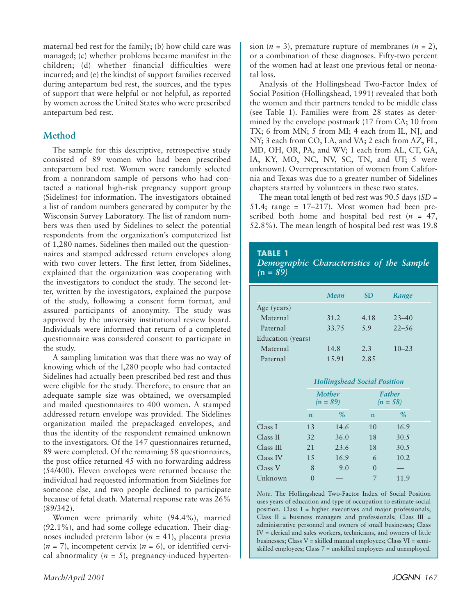maternal bed rest for the family; (b) how child care was managed; (c) whether problems became manifest in the children; (d) whether financial difficulties were incurred; and (e) the kind(s) of support families received during antepartum bed rest, the sources, and the types of support that were helpful or not helpful, as reported by women across the United States who were prescribed antepartum bed rest.

# **Method**

The sample for this descriptive, retrospective study consisted of 89 women who had been prescribed antepartum bed rest. Women were randomly selected from a nonrandom sample of persons who had contacted a national high-risk pregnancy support group (Sidelines) for information. The investigators obtained a list of random numbers generated by computer by the Wisconsin Survey Laboratory. The list of random numbers was then used by Sidelines to select the potential respondents from the organization's computerized list of 1,280 names. Sidelines then mailed out the questionnaires and stamped addressed return envelopes along with two cover letters. The first letter, from Sidelines, explained that the organization was cooperating with the investigators to conduct the study. The second letter, written by the investigators, explained the purpose of the study, following a consent form format, and assured participants of anonymity. The study was approved by the university institutional review board. Individuals were informed that return of a completed questionnaire was considered consent to participate in the study.

A sampling limitation was that there was no way of knowing which of the l,280 people who had contacted Sidelines had actually been prescribed bed rest and thus were eligible for the study. Therefore, to ensure that an adequate sample size was obtained, we oversampled and mailed questionnaires to 400 women. A stamped addressed return envelope was provided. The Sidelines organization mailed the prepackaged envelopes, and thus the identity of the respondent remained unknown to the investigators. Of the 147 questionnaires returned, 89 were completed. Of the remaining 58 questionnaires, the post office returned 45 with no forwarding address (54/400). Eleven envelopes were returned because the individual had requested information from Sidelines for someone else, and two people declined to participate because of fetal death. Maternal response rate was 26% (89/342).

Women were primarily white (94.4%), married (92.1%), and had some college education. Their diagnoses included preterm labor (*n* = 41), placenta previa  $(n = 7)$ , incompetent cervix  $(n = 6)$ , or identified cervical abnormality  $(n = 5)$ , pregnancy-induced hyperten-

*March/April 2001* JOGNN *167*

sion  $(n = 3)$ , premature rupture of membranes  $(n = 2)$ , or a combination of these diagnoses. Fifty-two percent of the women had at least one previous fetal or neonatal loss.

Analysis of the Hollingshead Two-Factor Index of Social Position (Hollingshead, 1991) revealed that both the women and their partners tended to be middle class (see Table 1). Families were from 28 states as determined by the envelope postmark (17 from CA; 10 from TX; 6 from MN; 5 from MI; 4 each from IL, NJ, and NY; 3 each from CO, LA, and VA; 2 each from AZ, FL, MD, OH, OR, PA, and WV; 1 each from AL, CT, GA, IA, KY, MO, NC, NV, SC, TN, and UT; 5 were unknown). Overrepresentation of women from California and Texas was due to a greater number of Sidelines chapters started by volunteers in these two states.

The mean total length of bed rest was 90.5 days (*SD* = 51.4; range =  $17-217$ ). Most women had been prescribed both home and hospital bed rest ( $n = 47$ , 52.8%). The mean length of hospital bed rest was 19.8

#### **TABLE 1**

*Demographic Characteristics of the Sample (***n** *= 89)*

|                   | Mean  | SD   | Range     |
|-------------------|-------|------|-----------|
| Age (years)       |       |      |           |
| Maternal          | 31.2  | 4.18 | $23 - 40$ |
| Paternal          | 33.75 | 5.9  | $22 - 56$ |
| Education (years) |       |      |           |
| Maternal          | 14.8  | 2.3  | $10 - 23$ |
| Paternal          | 15.91 | 2.85 |           |

#### *Hollingshead Social Position*

|           |                      | $\cdot$       |                      |               |
|-----------|----------------------|---------------|----------------------|---------------|
|           | Mother<br>$(n = 89)$ |               | Father<br>$(n = 58)$ |               |
|           | $\mathbf n$          | $\frac{0}{0}$ | $\mathbf n$          | $\frac{0}{0}$ |
| Class I   | 13                   | 14.6          | 10                   | 16.9          |
| Class II  | 32                   | 36.0          | 18                   | 30.5          |
| Class III | 21                   | 23.6          | 18                   | 30.5          |
| Class IV  | 15                   | 16.9          | 6                    | 10.2          |
| Class V   | 8                    | 9.0           | $\Omega$             |               |
| Unknown   | $\left( \right)$     |               |                      | 11.9          |

*Note*. The Hollingshead Two-Factor Index of Social Position uses years of education and type of occupation to estimate social position. Class I = higher executives and major professionals; Class II = business managers and professionals; Class III = administrative personnel and owners of small businesses; Class IV = clerical and sales workers, technicians, and owners of little businesses; Class V = skilled manual employees; Class VI = semiskilled employees; Class 7 = unskilled employees and unemployed.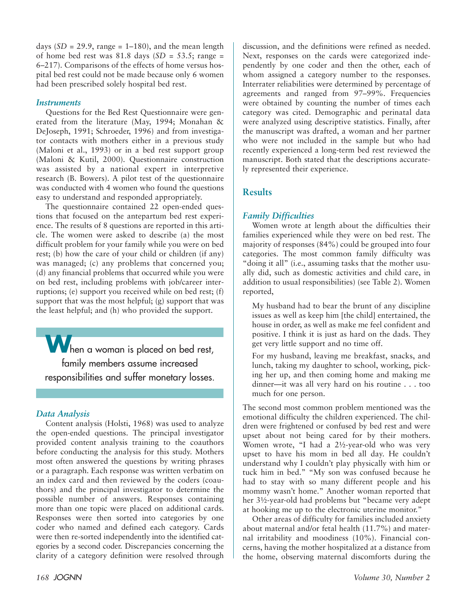days  $(SD = 29.9$ , range = 1–180), and the mean length of home bed rest was  $81.8$  days  $(SD = 53.5; \text{range} =$ 6–217). Comparisons of the effects of home versus hospital bed rest could not be made because only 6 women had been prescribed solely hospital bed rest.

#### *Instruments*

Questions for the Bed Rest Questionnaire were generated from the literature (May, 1994; Monahan & DeJoseph, 1991; Schroeder, 1996) and from investigator contacts with mothers either in a previous study (Maloni et al., 1993) or in a bed rest support group (Maloni & Kutil, 2000). Questionnaire construction was assisted by a national expert in interpretive research (B. Bowers). A pilot test of the questionnaire was conducted with 4 women who found the questions easy to understand and responded appropriately.

The questionnaire contained 22 open-ended questions that focused on the antepartum bed rest experience. The results of 8 questions are reported in this article. The women were asked to describe (a) the most difficult problem for your family while you were on bed rest; (b) how the care of your child or children (if any) was managed; (c) any problems that concerned you; (d) any financial problems that occurred while you were on bed rest, including problems with job/career interruptions; (e) support you received while on bed rest; (f) support that was the most helpful; (g) support that was the least helpful; and (h) who provided the support.

When a woman is placed on bed rest, family members assume increased responsibilities and suffer monetary losses.

#### *Data Analysis*

Content analysis (Holsti, 1968) was used to analyze the open-ended questions. The principal investigator provided content analysis training to the coauthors before conducting the analysis for this study. Mothers most often answered the questions by writing phrases or a paragraph. Each response was written verbatim on an index card and then reviewed by the coders (coauthors) and the principal investigator to determine the possible number of answers. Responses containing more than one topic were placed on additional cards. Responses were then sorted into categories by one coder who named and defined each category. Cards were then re-sorted independently into the identified categories by a second coder. Discrepancies concerning the clarity of a category definition were resolved through

discussion, and the definitions were refined as needed. Next, responses on the cards were categorized independently by one coder and then the other, each of whom assigned a category number to the responses. Interrater reliabilities were determined by percentage of agreements and ranged from 97–99%. Frequencies were obtained by counting the number of times each category was cited. Demographic and perinatal data were analyzed using descriptive statistics. Finally, after the manuscript was drafted, a woman and her partner who were not included in the sample but who had recently experienced a long-term bed rest reviewed the manuscript. Both stated that the descriptions accurately represented their experience.

# **Results**

## *Family Difficulties*

Women wrote at length about the difficulties their families experienced while they were on bed rest. The majority of responses (84%) could be grouped into four categories. The most common family difficulty was "doing it all" (i.e., assuming tasks that the mother usually did, such as domestic activities and child care, in addition to usual responsibilities) (see Table 2). Women reported,

My husband had to bear the brunt of any discipline issues as well as keep him [the child] entertained, the house in order, as well as make me feel confident and positive. I think it is just as hard on the dads. They get very little support and no time off.

For my husband, leaving me breakfast, snacks, and lunch, taking my daughter to school, working, picking her up, and then coming home and making me dinner—it was all very hard on his routine . . . too much for one person.

The second most common problem mentioned was the emotional difficulty the children experienced. The children were frightened or confused by bed rest and were upset about not being cared for by their mothers. Women wrote, "I had a 2½-year-old who was very upset to have his mom in bed all day. He couldn't understand why I couldn't play physically with him or tuck him in bed." "My son was confused because he had to stay with so many different people and his mommy wasn't home." Another woman reported that her 3½-year-old had problems but "became very adept at hooking me up to the electronic uterine monitor."

Other areas of difficulty for families included anxiety about maternal and/or fetal health (11.7%) and maternal irritability and moodiness (10%). Financial concerns, having the mother hospitalized at a distance from the home, observing maternal discomforts during the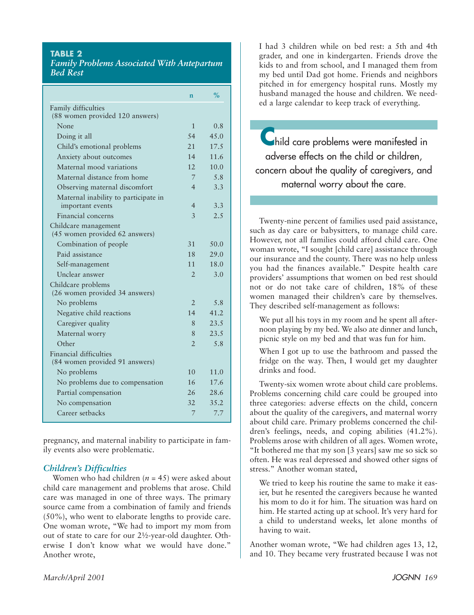### **TABLE 2**

*Family Problems Associated With Antepartum Bed Rest*

| Family difficulties<br>(88 women provided 120 answers)<br>None<br>Doing it all<br>Child's emotional problems<br>Anxiety about outcomes<br>Maternal mood variations | 1<br>54<br>2.1<br>14<br>12.<br>7 | 0.8<br>45.0<br>17.5<br>11.6<br>10.0 |
|--------------------------------------------------------------------------------------------------------------------------------------------------------------------|----------------------------------|-------------------------------------|
|                                                                                                                                                                    |                                  |                                     |
|                                                                                                                                                                    |                                  |                                     |
|                                                                                                                                                                    |                                  |                                     |
|                                                                                                                                                                    |                                  |                                     |
|                                                                                                                                                                    |                                  |                                     |
|                                                                                                                                                                    |                                  |                                     |
|                                                                                                                                                                    |                                  |                                     |
| Maternal distance from home                                                                                                                                        |                                  | 5.8                                 |
| Observing maternal discomfort                                                                                                                                      | $\overline{4}$                   | 3.3                                 |
| Maternal inability to participate in<br>important events                                                                                                           | 4                                | 3.3                                 |
| Financial concerns                                                                                                                                                 | 3                                | 2.5                                 |
| Childcare management<br>(45 women provided 62 answers)                                                                                                             |                                  |                                     |
| Combination of people                                                                                                                                              | 31                               | 50.0                                |
| Paid assistance                                                                                                                                                    | 18                               | 29.0                                |
| Self-management                                                                                                                                                    | 11                               | 18.0                                |
| Unclear answer                                                                                                                                                     | $\mathfrak{D}$                   | 3.0                                 |
| Childcare problems<br>(26 women provided 34 answers)                                                                                                               |                                  |                                     |
| No problems                                                                                                                                                        | $\overline{2}$                   | 5.8                                 |
| Negative child reactions                                                                                                                                           | 14                               | 41.2                                |
| Caregiver quality                                                                                                                                                  | 8                                | 23.5                                |
| Maternal worry                                                                                                                                                     | 8                                | 23.5                                |
| Other                                                                                                                                                              | $\mathfrak{D}$                   | 5.8                                 |
| Financial difficulties<br>(84 women provided 91 answers)                                                                                                           |                                  |                                     |
| No problems                                                                                                                                                        | 10                               | 11.0                                |
| No problems due to compensation                                                                                                                                    | 16                               | 17.6                                |
| Partial compensation                                                                                                                                               | 26                               | 28.6                                |
| No compensation                                                                                                                                                    | 32                               | 35.2                                |
| Career setbacks                                                                                                                                                    | 7                                | 7.7                                 |

pregnancy, and maternal inability to participate in family events also were problematic.

#### *Children's Difficulties*

Women who had children (*n* = 45) were asked about child care management and problems that arose. Child care was managed in one of three ways. The primary source came from a combination of family and friends (50%), who went to elaborate lengths to provide care. One woman wrote, "We had to import my mom from out of state to care for our 2½-year-old daughter. Otherwise I don't know what we would have done." Another wrote,

I had 3 children while on bed rest: a 5th and 4th grader, and one in kindergarten. Friends drove the kids to and from school, and I managed them from my bed until Dad got home. Friends and neighbors pitched in for emergency hospital runs. Mostly my husband managed the house and children. We needed a large calendar to keep track of everything.

**C**hild care problems were manifested in adverse effects on the child or children, concern about the quality of caregivers, and maternal worry about the care.

Twenty-nine percent of families used paid assistance, such as day care or babysitters, to manage child care. However, not all families could afford child care. One woman wrote, "I sought [child care] assistance through our insurance and the county. There was no help unless you had the finances available." Despite health care providers' assumptions that women on bed rest should not or do not take care of children, 18% of these women managed their children's care by themselves. They described self-management as follows:

We put all his toys in my room and he spent all afternoon playing by my bed. We also ate dinner and lunch, picnic style on my bed and that was fun for him.

When I got up to use the bathroom and passed the fridge on the way. Then, I would get my daughter drinks and food.

Twenty-six women wrote about child care problems. Problems concerning child care could be grouped into three categories: adverse effects on the child, concern about the quality of the caregivers, and maternal worry about child care. Primary problems concerned the children's feelings, needs, and coping abilities (41.2%). Problems arose with children of all ages. Women wrote, "It bothered me that my son [3 years] saw me so sick so often. He was real depressed and showed other signs of stress." Another woman stated,

We tried to keep his routine the same to make it easier, but he resented the caregivers because he wanted his mom to do it for him. The situation was hard on him. He started acting up at school. It's very hard for a child to understand weeks, let alone months of having to wait.

Another woman wrote, "We had children ages 13, 12, and 10. They became very frustrated because I was not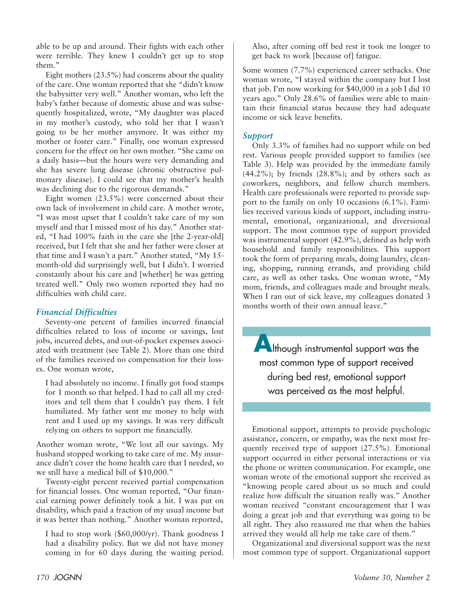able to be up and around. Their fights with each other were terrible. They knew I couldn't get up to stop them."

Eight mothers (23.5%) had concerns about the quality of the care. One woman reported that she "didn't know the babysitter very well." Another woman, who left the baby's father because of domestic abuse and was subsequently hospitalized, wrote, "My daughter was placed in my mother's custody, who told her that I wasn't going to be her mother anymore. It was either my mother or foster care." Finally, one woman expressed concern for the effect on her own mother. "She came on a daily basis—but the hours were very demanding and she has severe lung disease (chronic obstructive pulmonary disease). I could see that my mother's health was declining due to the rigorous demands."

Eight women (23.5%) were concerned about their own lack of involvement in child care. A mother wrote, "I was most upset that I couldn't take care of my son myself and that I missed most of his day." Another stated, "I had 100% faith in the care she [the 2-year-old] received, but I felt that she and her father were closer at that time and I wasn't a part." Another stated, "My 15 month-old did surprisingly well, but I didn't. I worried constantly about his care and [whether] he was getting treated well." Only two women reported they had no difficulties with child care.

## *Financial Difficulties*

Seventy-one percent of families incurred financial difficulties related to loss of income or savings, lost jobs, incurred debts, and out-of-pocket expenses associated with treatment (see Table 2). More than one third of the families received no compensation for their losses. One woman wrote,

I had absolutely no income. I finally got food stamps for 1 month so that helped. I had to call all my creditors and tell them that I couldn't pay them. I felt humiliated. My father sent me money to help with rent and I used up my savings. It was very difficult relying on others to support me financially.

Another woman wrote, "We lost all our savings. My husband stopped working to take care of me. My insurance didn't cover the home health care that I needed, so we still have a medical bill of \$10,000."

Twenty-eight percent received partial compensation for financial losses. One woman reported, "Our financial earning power definitely took a hit. I was put on disability, which paid a fraction of my usual income but it was better than nothing." Another woman reported,

I had to stop work (\$60,000/yr). Thank goodness I had a disability policy. But we did not have money coming in for 60 days during the waiting period.

Also, after coming off bed rest it took me longer to get back to work [because of] fatigue.

Some women (7.7%) experienced career setbacks. One woman wrote, "I stayed within the company but I lost that job. I'm now working for \$40,000 in a job I did 10 years ago." Only 28.6% of families were able to maintain their financial status because they had adequate income or sick leave benefits.

### *Support*

Only 3.3% of families had no support while on bed rest. Various people provided support to families (see Table 3). Help was provided by the immediate family  $(44.2\%)$ ; by friends  $(28.8\%)$ ; and by others such as coworkers, neighbors, and fellow church members. Health care professionals were reported to provide support to the family on only 10 occasions (6.1%). Families received various kinds of support, including instrumental, emotional, organizational, and diversional support. The most common type of support provided was instrumental support (42.9%), defined as help with household and family responsibilities. This support took the form of preparing meals, doing laundry, cleaning, shopping, running errands, and providing child care, as well as other tasks. One woman wrote, "My mom, friends, and colleagues made and brought meals. When I ran out of sick leave, my colleagues donated 3 months worth of their own annual leave."

**A**lthough instrumental support was the most common type of support received during bed rest, emotional support was perceived as the most helpful.

Emotional support, attempts to provide psychologic assistance, concern, or empathy, was the next most frequently received type of support (27.5%). Emotional support occurred in either personal interactions or via the phone or written communication. For example, one woman wrote of the emotional support she received as "knowing people cared about us so much and could realize how difficult the situation really was." Another woman received "constant encouragement that I was doing a great job and that everything was going to be all right. They also reassured me that when the babies arrived they would all help me take care of them."

Organizational and diversional support was the next most common type of support. Organizational support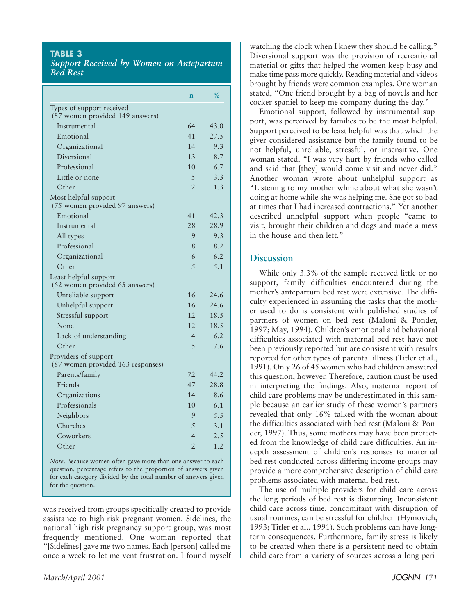#### **TABLE 3**

*Support Received by Women on Antepartum Bed Rest*

|                                                              | $\mathbf n$    | $\frac{1}{2}$ |
|--------------------------------------------------------------|----------------|---------------|
| Types of support received<br>(87 women provided 149 answers) |                |               |
| Instrumental                                                 | 64             | 43.0          |
| Emotional                                                    | 41             | 27.5          |
| Organizational                                               | 14             | 9.3           |
| Diversional                                                  | 13             | 8.7           |
| Professional                                                 | 10             | 6.7           |
| Little or none                                               | 5              | 3.3           |
| Other                                                        | $\overline{2}$ | 1.3           |
| Most helpful support<br>(75 women provided 97 answers)       |                |               |
| Emotional                                                    | 41             | 42.3          |
| Instrumental                                                 | 2.8            | 28.9          |
| All types                                                    | 9              | 9.3           |
| Professional                                                 | 8              | 8.2           |
| Organizational                                               | 6              | 6.2           |
| Other                                                        | 5              | 5.1           |
| Least helpful support<br>(62 women provided 65 answers)      |                |               |
| Unreliable support                                           | 16             | 24.6          |
| Unhelpful support                                            | 16             | 24.6          |
| Stressful support                                            | 12.            | 18.5          |
| None                                                         | 12.            | 18.5          |
| Lack of understanding                                        | 4              | 6.2           |
| Other                                                        | 5              | 7.6           |
| Providers of support<br>(87 women provided 163 responses)    |                |               |
| Parents/family                                               | 72             | 44.2          |
| Friends                                                      | 47             | 28.8          |
| Organizations                                                | 14             | 8.6           |
| Professionals                                                | 10             | 6.1           |
| Neighbors                                                    | 9              | 5.5           |
| Churches                                                     | 5              | 3.1           |
| Coworkers                                                    | $\overline{4}$ | 2.5           |
| Other                                                        | $\overline{2}$ | 1.2.          |
|                                                              |                |               |

*Note*. Because women often gave more than one answer to each question, percentage refers to the proportion of answers given for each category divided by the total number of answers given for the question.

was received from groups specifically created to provide assistance to high-risk pregnant women. Sidelines, the national high-risk pregnancy support group, was most frequently mentioned. One woman reported that "[Sidelines] gave me two names. Each [person] called me once a week to let me vent frustration. I found myself watching the clock when I knew they should be calling." Diversional support was the provision of recreational material or gifts that helped the women keep busy and make time pass more quickly. Reading material and videos brought by friends were common examples. One woman stated, "One friend brought by a bag of novels and her cocker spaniel to keep me company during the day."

Emotional support, followed by instrumental support, was perceived by families to be the most helpful. Support perceived to be least helpful was that which the giver considered assistance but the family found to be not helpful, unreliable, stressful, or insensitive. One woman stated, "I was very hurt by friends who called and said that [they] would come visit and never did." Another woman wrote about unhelpful support as "Listening to my mother whine about what she wasn't doing at home while she was helping me. She got so bad at times that I had increased contractions." Yet another described unhelpful support when people "came to visit, brought their children and dogs and made a mess in the house and then left."

#### **Discussion**

While only 3.3% of the sample received little or no support, family difficulties encountered during the mother's antepartum bed rest were extensive. The difficulty experienced in assuming the tasks that the mother used to do is consistent with published studies of partners of women on bed rest (Maloni & Ponder, 1997; May, 1994). Children's emotional and behavioral difficulties associated with maternal bed rest have not been previously reported but are consistent with results reported for other types of parental illness (Titler et al., 1991). Only 26 of 45 women who had children answered this question, however. Therefore, caution must be used in interpreting the findings. Also, maternal report of child care problems may be underestimated in this sample because an earlier study of these women's partners revealed that only 16% talked with the woman about the difficulties associated with bed rest (Maloni & Ponder, 1997). Thus, some mothers may have been protected from the knowledge of child care difficulties. An indepth assessment of children's responses to maternal bed rest conducted across differing income groups may provide a more comprehensive description of child care problems associated with maternal bed rest.

The use of multiple providers for child care across the long periods of bed rest is disturbing. Inconsistent child care across time, concomitant with disruption of usual routines, can be stressful for children (Hymovich, 1993; Titler et al., 1991). Such problems can have longterm consequences. Furthermore, family stress is likely to be created when there is a persistent need to obtain child care from a variety of sources across a long peri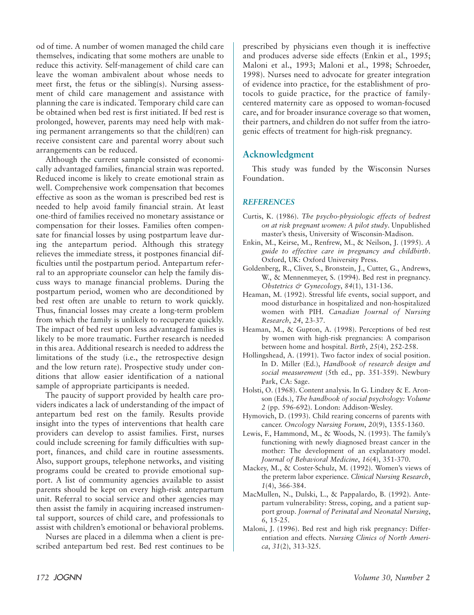od of time. A number of women managed the child care themselves, indicating that some mothers are unable to reduce this activity. Self-management of child care can leave the woman ambivalent about whose needs to meet first, the fetus or the sibling(s). Nursing assessment of child care management and assistance with planning the care is indicated. Temporary child care can be obtained when bed rest is first initiated. If bed rest is prolonged, however, parents may need help with making permanent arrangements so that the child(ren) can receive consistent care and parental worry about such arrangements can be reduced.

Although the current sample consisted of economically advantaged families, financial strain was reported. Reduced income is likely to create emotional strain as well. Comprehensive work compensation that becomes effective as soon as the woman is prescribed bed rest is needed to help avoid family financial strain. At least one-third of families received no monetary assistance or compensation for their losses. Families often compensate for financial losses by using postpartum leave during the antepartum period. Although this strategy relieves the immediate stress, it postpones financial difficulties until the postpartum period. Antepartum referral to an appropriate counselor can help the family discuss ways to manage financial problems. During the postpartum period, women who are deconditioned by bed rest often are unable to return to work quickly. Thus, financial losses may create a long-term problem from which the family is unlikely to recuperate quickly. The impact of bed rest upon less advantaged families is likely to be more traumatic. Further research is needed in this area. Additional research is needed to address the limitations of the study (i.e., the retrospective design and the low return rate). Prospective study under conditions that allow easier identification of a national sample of appropriate participants is needed.

The paucity of support provided by health care providers indicates a lack of understanding of the impact of antepartum bed rest on the family. Results provide insight into the types of interventions that health care providers can develop to assist families. First, nurses could include screening for family difficulties with support, finances, and child care in routine assessments. Also, support groups, telephone networks, and visiting programs could be created to provide emotional support. A list of community agencies available to assist parents should be kept on every high-risk antepartum unit. Referral to social service and other agencies may then assist the family in acquiring increased instrumental support, sources of child care, and professionals to assist with children's emotional or behavioral problems.

Nurses are placed in a dilemma when a client is prescribed antepartum bed rest. Bed rest continues to be

prescribed by physicians even though it is ineffective and produces adverse side effects (Enkin et al., 1995; Maloni et al., 1993; Maloni et al., 1998; Schroeder, 1998). Nurses need to advocate for greater integration of evidence into practice, for the establishment of protocols to guide practice, for the practice of familycentered maternity care as opposed to woman-focused care, and for broader insurance coverage so that women, their partners, and children do not suffer from the iatrogenic effects of treatment for high-risk pregnancy.

#### **Acknowledgment**

This study was funded by the Wisconsin Nurses Foundation.

#### *REFERENCES*

- Curtis, K. (1986). *The psycho-physiologic effects of bedrest on at risk pregnant women: A pilot study*. Unpublished master's thesis, University of Wisconsin-Madison.
- Enkin, M., Keirse, M., Renfrew, M., & Neilson, J. (1995). *A guide to effective care in pregnancy and childbirth*. Oxford, UK: Oxford University Press.
- Goldenberg, R., Cliver, S., Bronstein, J., Cutter, G., Andrews, W., & Mennenmeyer, S. (1994). Bed rest in pregnancy. *Obstetrics & Gynecology*, *84*(1), 131-136.
- Heaman, M. (1992). Stressful life events, social support, and mood disturbance in hospitalized and non-hospitalized women with PIH. *Canadian Journal of Nursing Research*, *24*, 23-37.
- Heaman, M., & Gupton, A. (1998). Perceptions of bed rest by women with high-risk pregnancies: A comparison between home and hospital. *Birth*, *25*(4), 252-258.
- Hollingshead, A. (1991). Two factor index of social position. In D. Miller (Ed.), *Handbook of research design and social measurement* (5th ed., pp. 351-359). Newbury Park, CA: Sage.
- Holsti, O. (1968). Content analysis. In G. Lindzey & E. Aronson (Eds.), *The handbook of social psychology: Volume 2* (pp. 596-692). London: Addison-Wesley.
- Hymovich, D. (1993). Child rearing concerns of parents with cancer. *Oncology Nursing Forum*, *20*(9), 1355-1360.
- Lewis, F., Hammond, M., & Woods, N. (1993). The family's functioning with newly diagnosed breast cancer in the mother: The development of an explanatory model. *Journal of Behavioral Medicine*, *16*(4), 351-370.
- Mackey, M., & Coster-Schulz, M. (1992). Women's views of the preterm labor experience. *Clinical Nursing Research*, *1*(4), 366-384.
- MacMullen, N., Dulski, L., & Pappalardo, B. (1992). Antepartum vulnerability: Stress, coping, and a patient support group. *Journal of Perinatal and Neonatal Nursing*, *6*, 15-25.
- Maloni, J. (1996). Bed rest and high risk pregnancy: Differentiation and effects. *Nursing Clinics of North America*, *31*(2), 313-325.